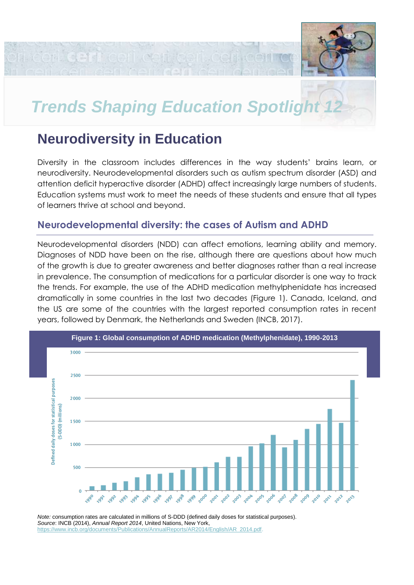

# **Trends Shaping Education Spotlight**

# **Neurodiversity in Education**

en lazhi ceri ceri tseri a

Diversity in the classroom includes differences in the way students' brains learn, or neurodiversity. Neurodevelopmental disorders such as autism spectrum disorder (ASD) and attention deficit hyperactive disorder (ADHD) affect increasingly large numbers of students. Education systems must work to meet the needs of these students and ensure that all types of learners thrive at school and beyond.

# **Neurodevelopmental diversity: the cases of Autism and ADHD**

Neurodevelopmental disorders (NDD) can affect emotions, learning ability and memory. Diagnoses of NDD have been on the rise, although there are questions about how much of the growth is due to greater awareness and better diagnoses rather than a real increase in prevalence. The consumption of medications for a particular disorder is one way to track the trends. For example, the use of the ADHD medication methylphenidate has increased dramatically in some countries in the last two decades (Figure 1). Canada, Iceland, and the US are some of the countries with the largest reported consumption rates in recent years, followed by Denmark, the Netherlands and Sweden (INCB, 2017).



*Note:* consumption rates are calculated in millions of S-DDD (defined daily doses for statistical purposes). *Source*: INCB (2014), *Annual Report 2014*, United Nations, New York, [https://www.incb.org/documents/Publications/AnnualReports/AR2014/English/AR\\_2014.pdf.](https://www.incb.org/documents/Publications/AnnualReports/AR2014/English/AR_2014.pdf)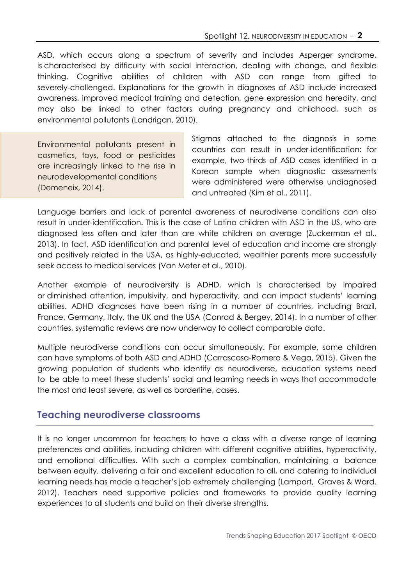ASD, which occurs along a spectrum of severity and includes Asperger syndrome, is characterised by difficulty with social interaction, dealing with change, and flexible thinking. Cognitive abilities of children with ASD can range from gifted to severely-challenged. Explanations for the growth in diagnoses of ASD include increased awareness, improved medical training and detection, gene expression and heredity, and may also be linked to other factors during pregnancy and childhood, such as environmental pollutants (Landrigan, 2010).

Environmental pollutants present in cosmetics, toys, food or pesticides are increasingly linked to the rise in neurodevelopmental conditions (Demeneix, 2014).

Stigmas attached to the diagnosis in some countries can result in under-identification: for example, two-thirds of ASD cases identified in a Korean sample when diagnostic assessments were administered were otherwise undiagnosed and untreated (Kim et al., 2011).

Language barriers and lack of parental awareness of neurodiverse conditions can also result in under-identification. This is the case of Latino children with ASD in the US, who are diagnosed less often and later than are white children on average (Zuckerman et al., 2013). In fact, ASD identification and parental level of education and income are strongly and positively related in the USA, as highly-educated, wealthier parents more successfully seek access to medical services (Van Meter et al., 2010).

Another example of neurodiversity is ADHD, which is characterised by impaired or diminished attention, impulsivity, and hyperactivity, and can impact students' learning abilities. ADHD diagnoses have been rising in a number of countries, including Brazil, France, Germany, Italy, the UK and the USA (Conrad & Bergey, 2014). In a number of other countries, systematic reviews are now underway to collect comparable data.

Multiple neurodiverse conditions can occur simultaneously. For example, some children can have symptoms of both ASD and ADHD (Carrascosa-Romero & Vega, 2015). Given the growing population of students who identify as neurodiverse, education systems need to be able to meet these students' social and learning needs in ways that accommodate the most and least severe, as well as borderline, cases.

# **Teaching neurodiverse classrooms**

It is no longer uncommon for teachers to have a class with a diverse range of learning preferences and abilities, including children with different cognitive abilities, hyperactivity, and emotional difficulties. With such a complex combination, maintaining a balance between equity, delivering a fair and excellent education to all, and catering to individual learning needs has made a teacher's job extremely challenging (Lamport, Graves & Ward, 2012). Teachers need supportive policies and frameworks to provide quality learning experiences to all students and build on their diverse strengths.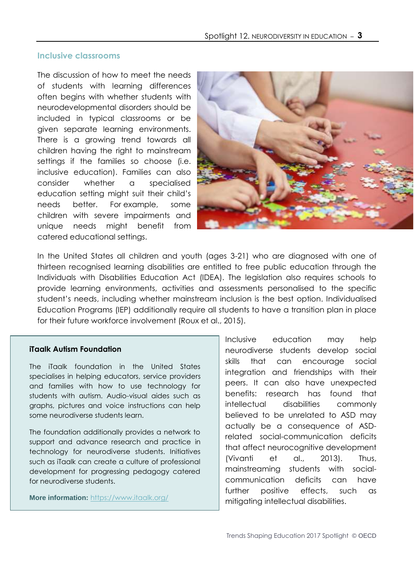#### **Inclusive classrooms**

The discussion of how to meet the needs of students with learning differences often begins with whether students with neurodevelopmental disorders should be included in typical classrooms or be given separate learning environments. There is a growing trend towards all children having the right to mainstream settings if the families so choose (i.e. inclusive education). Families can also consider whether a specialised education setting might suit their child's needs better. For example, some children with severe impairments and unique needs might benefit from catered educational settings.



In the United States all children and youth (ages 3-21) who are diagnosed with one of thirteen recognised learning disabilities are entitled to free public education through the Individuals with Disabilities Education Act (IDEA). The legislation also requires schools to provide learning environments, activities and assessments personalised to the specific student's needs, including whether mainstream inclusion is the best option. Individualised Education Programs (IEP) additionally require all students to have a transition plan in place for their future workforce involvement (Roux et al., 2015).

#### **iTaalk Autism Foundation**

The iTaalk foundation in the United States specialises in helping educators, service providers and families with how to use technology for students with autism. Audio-visual aides such as graphs, pictures and voice instructions can help some neurodiverse students learn.

The foundation additionally provides a network to support and advance research and practice in technology for neurodiverse students. Initiatives such as iTaalk can create a culture of professional development for progressing pedagogy catered for neurodiverse students.

**More information:** <https://www.itaalk.org/>

Inclusive education may help neurodiverse students develop social skills that can encourage social integration and friendships with their peers. It can also have unexpected benefits: research has found that intellectual disabilities commonly believed to be unrelated to ASD may actually be a consequence of ASDrelated social-communication deficits that affect neurocognitive development (Vivanti et al., 2013). Thus, mainstreaming students with socialcommunication deficits can have further positive effects, such as mitigating intellectual disabilities.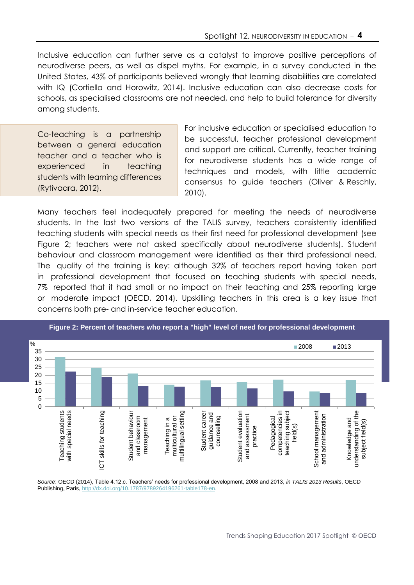Inclusive education can further serve as a catalyst to improve positive perceptions of neurodiverse peers, as well as dispel myths. For example, in a survey conducted in the United States, 43% of participants believed wrongly that learning disabilities are correlated with IQ (Cortiella and Horowitz, 2014). Inclusive education can also decrease costs for schools, as specialised classrooms are not needed, and help to build tolerance for diversity among students.

Co-teaching is a partnership between a general education teacher and a teacher who is experienced in teaching students with learning differences (Rytivaara, 2012).

For inclusive education or specialised education to be successful, teacher professional development and support are critical. Currently, teacher training for neurodiverse students has a wide range of techniques and models, with little academic consensus to guide teachers (Oliver & Reschly, 2010).

Many teachers feel inadequately prepared for meeting the needs of neurodiverse students. In the last two versions of the TALIS survey, teachers consistently identified teaching students with special needs as their first need for professional development (see Figure 2; teachers were not asked specifically about neurodiverse students). Student behaviour and classroom management were identified as their third professional need. The quality of the training is key: although 32% of teachers report having taken part in professional development that focused on teaching students with special needs, 7% reported that it had small or no impact on their teaching and 25% reporting large or moderate impact (OECD, 2014). Upskilling teachers in this area is a key issue that concerns both pre- and in-service teacher education.



**Figure 2: Percent of teachers who report a "high" level of need for professional development**

*Source*: OECD (2014), Table 4.12.c. Teachers' needs for professional development, 2008 and 2013, *in TALIS 2013 Results*, OECD Publishing, Paris, [http://dx.doi.org/10.1787/9789264196261-table178-en.](http://dx.doi.org/10.1787/9789264196261-table178-en)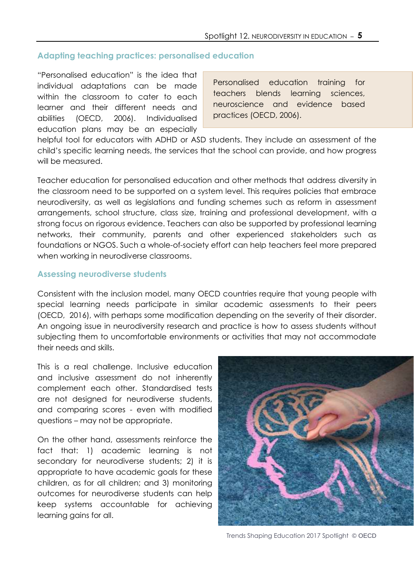# **Adapting teaching practices: personalised education**

"Personalised education" is the idea that individual adaptations can be made within the classroom to cater to each learner and their different needs and abilities (OECD, 2006). Individualised education plans may be an especially

Personalised education training for teachers blends learning sciences, neuroscience and evidence based practices (OECD, 2006).

helpful tool for educators with ADHD or ASD students. They include an assessment of the child's specific learning needs, the services that the school can provide, and how progress will be measured.

Teacher education for personalised education and other methods that address diversity in the classroom need to be supported on a system level. This requires policies that embrace neurodiversity, as well as legislations and funding schemes such as reform in assessment arrangements, school structure, class size, training and professional development, with a strong focus on rigorous evidence. Teachers can also be supported by professional learning networks, their community, parents and other experienced stakeholders such as foundations or NGOS. Such a whole-of-society effort can help teachers feel more prepared when working in neurodiverse classrooms.

## **Assessing neurodiverse students**

Consistent with the inclusion model, many OECD countries require that young people with special learning needs participate in similar academic assessments to their peers (OECD, 2016), with perhaps some modification depending on the severity of their disorder. An ongoing issue in neurodiversity research and practice is how to assess students without subjecting them to uncomfortable environments or activities that may not accommodate their needs and skills.

This is a real challenge. Inclusive education and inclusive assessment do not inherently complement each other. Standardised tests are not designed for neurodiverse students, and comparing scores - even with modified questions – may not be appropriate.

On the other hand, assessments reinforce the fact that: 1) academic learning is not secondary for neurodiverse students; 2) it is appropriate to have academic goals for these children, as for all children; and 3) monitoring outcomes for neurodiverse students can help keep systems accountable for achieving learning gains for all.



Trends Shaping Education 2017 Spotlight © OECD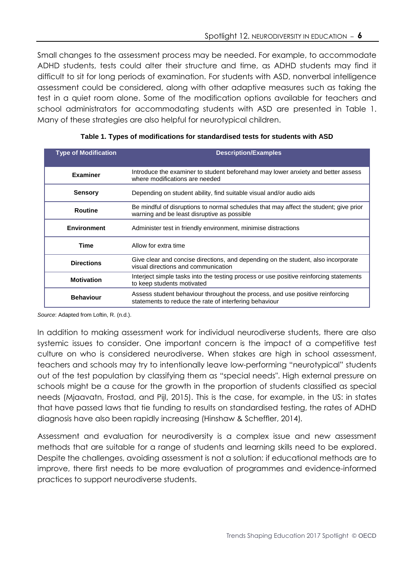Small changes to the assessment process may be needed. For example, to accommodate ADHD students, tests could alter their structure and time, as ADHD students may find it difficult to sit for long periods of examination. For students with ASD, nonverbal intelligence assessment could be considered, along with other adaptive measures such as taking the test in a quiet room alone. Some of the modification options available for teachers and school administrators for accommodating students with ASD are presented in Table 1. Many of these strategies are also helpful for neurotypical children.

| <b>Type of Modification</b> | <b>Description/Examples</b>                                                                                                             |  |  |
|-----------------------------|-----------------------------------------------------------------------------------------------------------------------------------------|--|--|
| <b>Examiner</b>             | Introduce the examiner to student beforehand may lower anxiety and better assess<br>where modifications are needed                      |  |  |
| <b>Sensory</b>              | Depending on student ability, find suitable visual and/or audio aids                                                                    |  |  |
| <b>Routine</b>              | Be mindful of disruptions to normal schedules that may affect the student; give prior<br>warning and be least disruptive as possible    |  |  |
| <b>Environment</b>          | Administer test in friendly environment, minimise distractions                                                                          |  |  |
| Time                        | Allow for extra time                                                                                                                    |  |  |
| <b>Directions</b>           | Give clear and concise directions, and depending on the student, also incorporate<br>visual directions and communication                |  |  |
| <b>Motivation</b>           | Interject simple tasks into the testing process or use positive reinforcing statements<br>to keep students motivated                    |  |  |
| <b>Behaviour</b>            | Assess student behaviour throughout the process, and use positive reinforcing<br>statements to reduce the rate of interfering behaviour |  |  |

**Table 1. Types of modifications for standardised tests for students with ASD**

*Source*: Adapted from Loftin, R. (n.d.).

In addition to making assessment work for individual neurodiverse students, there are also systemic issues to consider. One important concern is the impact of a competitive test culture on who is considered neurodiverse. When stakes are high in school assessment, teachers and schools may try to intentionally leave low-performing "neurotypical" students out of the test population by classifying them as "special needs". High external pressure on schools might be a cause for the growth in the proportion of students classified as special needs (Mjaavatn, Frostad, and Pijl, 2015). This is the case, for example, in the US: in states that have passed laws that tie funding to results on standardised testing, the rates of ADHD diagnosis have also been rapidly increasing (Hinshaw & Scheffler, 2014)*.*

Assessment and evaluation for neurodiversity is a complex issue and new assessment methods that are suitable for a range of students and learning skills need to be explored. Despite the challenges, avoiding assessment is not a solution: if educational methods are to improve, there first needs to be more evaluation of programmes and evidence-informed practices to support neurodiverse students.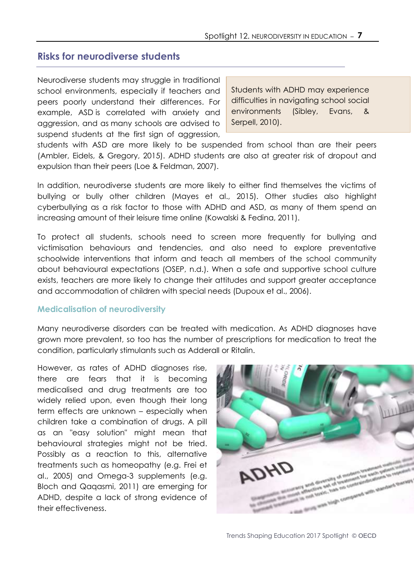# **Risks for neurodiverse students**

Neurodiverse students may struggle in traditional school environments, especially if teachers and peers poorly understand their differences. For example, ASD is correlated with anxiety and aggression, and as many schools are advised to suspend students at the first sign of aggression,

Students with ADHD may experience difficulties in navigating school social environments (Sibley, Evans, & Serpell, 2010).

students with ASD are more likely to be suspended from school than are their peers (Ambler, Eidels, & Gregory, 2015). ADHD students are also at greater risk of dropout and expulsion than their peers (Loe & Feldman, 2007).

In addition, neurodiverse students are more likely to either find themselves the victims of bullying or bully other children (Mayes et al., 2015). Other studies also highlight cyberbullying as a risk factor to those with ADHD and ASD, as many of them spend an increasing amount of their leisure time online (Kowalski & Fedina, 2011).

To protect all students, schools need to screen more frequently for bullying and victimisation behaviours and tendencies, and also need to explore preventative schoolwide interventions that inform and teach all members of the school community about behavioural expectations (OSEP, n.d.). When a safe and supportive school culture exists, teachers are more likely to change their attitudes and support greater acceptance and accommodation of children with special needs (Dupoux et al., 2006).

#### **Medicalisation of neurodiversity**

Many neurodiverse disorders can be treated with medication. As ADHD diagnoses have grown more prevalent, so too has the number of prescriptions for medication to treat the condition, particularly stimulants such as Adderall or Ritalin.

However, as rates of ADHD diagnoses rise, there are fears that it is becoming medicalised and drug treatments are too widely relied upon, even though their long term effects are unknown – especially when children take a combination of drugs. A pill as an "easy solution" might mean that behavioural strategies might not be tried. Possibly as a reaction to this, alternative treatments such as homeopathy (e.g. Frei et al., 2005) and Omega-3 supplements (e.g. Bloch and Qaqasmi, 2011) are emerging for ADHD, despite a lack of strong evidence of their effectiveness.



Trends Shaping Education 2017 Spotlight © OECD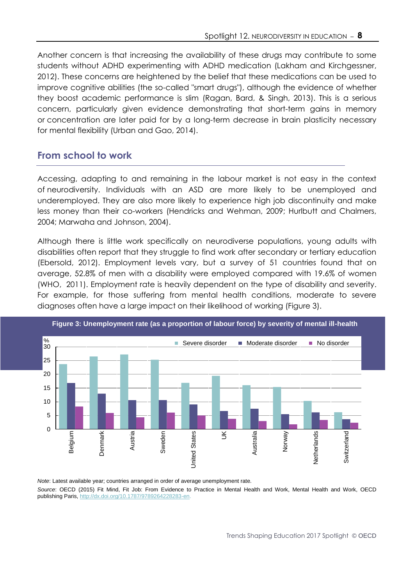Another concern is that increasing the availability of these drugs may contribute to some students without ADHD experimenting with ADHD medication (Lakham and Kirchgessner, 2012). These concerns are heightened by the belief that these medications can be used to improve cognitive abilities (the so-called "smart drugs"), although the evidence of whether they boost academic performance is slim (Ragan, Bard, & Singh, 2013). This is a serious concern, particularly given evidence demonstrating that short-term gains in memory or concentration are later paid for by a long-term decrease in brain plasticity necessary for mental flexibility (Urban and Gao, 2014).

# **From school to work**

Accessing, adapting to and remaining in the labour market is not easy in the context of neurodiversity. Individuals with an ASD are more likely to be unemployed and underemployed. They are also more likely to experience high job discontinuity and make less money than their co-workers (Hendricks and Wehman, 2009; Hurlbutt and Chalmers, 2004; Marwaha and Johnson, 2004).

Although there is little work specifically on neurodiverse populations, young adults with disabilities often report that they struggle to find work after secondary or tertiary education (Ebersold, 2012). Employment levels vary, but a survey of 51 countries found that on average, 52.8% of men with a disability were employed compared with 19.6% of women (WHO, 2011). Employment rate is heavily dependent on the type of disability and severity. For example, for those suffering from mental health conditions, moderate to severe diagnoses often have a large impact on their likelihood of working (Figure 3).





*Note*: Latest available year; countries arranged in order of average unemployment rate. *Source*: OECD (2015) Fit Mind, Fit Job: From Evidence to Practice in Mental Health and Work, Mental Health and Work, OECD publishing Paris, [http://dx.doi.org/10.1787/9789264228283-en.](http://dx.doi.org/10.1787/9789264228283-en)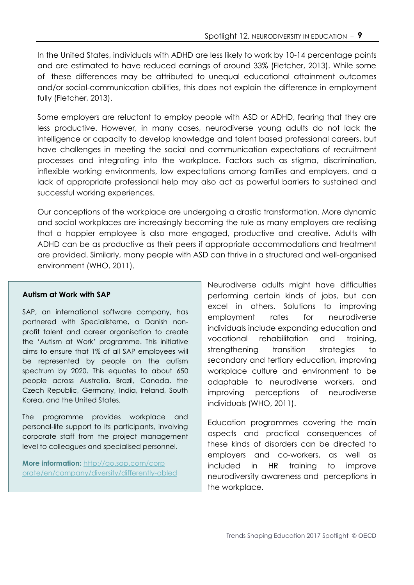In the United States, individuals with ADHD are less likely to work by 10-14 percentage points and are estimated to have reduced earnings of around 33% (Fletcher, 2013). While some of these differences may be attributed to unequal educational attainment outcomes and/or social-communication abilities, this does not explain the difference in employment fully (Fletcher, 2013).

Some employers are reluctant to employ people with ASD or ADHD, fearing that they are less productive. However, in many cases, neurodiverse young adults do not lack the intelligence or capacity to develop knowledge and talent based professional careers, but have challenges in meeting the social and communication expectations of recruitment processes and integrating into the workplace. Factors such as stigma, discrimination, inflexible working environments, low expectations among families and employers, and a lack of appropriate professional help may also act as powerful barriers to sustained and successful working experiences.

Our conceptions of the workplace are undergoing a drastic transformation. More dynamic and social workplaces are increasingly becoming the rule as many employers are realising that a happier employee is also more engaged, productive and creative. Adults with ADHD can be as productive as their peers if appropriate accommodations and treatment are provided. Similarly, many people with ASD can thrive in a structured and well-organised environment (WHO, 2011).

### **Autism at Work with SAP**

SAP, an international software company, has partnered with Specialisterne, a Danish nonprofit talent and career organisation to create the 'Autism at Work' programme. This initiative aims to ensure that 1% of all SAP employees will be represented by people on the autism spectrum by 2020. This equates to about 650 people across Australia, Brazil, Canada, the Czech Republic, Germany, India, Ireland, South Korea, and the United States.

The programme provides workplace and personal-life support to its participants, involving corporate staff from the project management level to colleagues and specialised personnel.

**More information:** [http://go.sap.com/corp](http://go.sap.com/corp%20orate/en/company/diversity/differently-abled.html)  [orate/en/company/diversity/differently-abled](http://go.sap.com/corp%20orate/en/company/diversity/differently-abled.html) Neurodiverse adults might have difficulties performing certain kinds of jobs, but can excel in others. Solutions to improving employment rates for neurodiverse individuals include expanding education and vocational rehabilitation and training, strengthening transition strategies to secondary and tertiary education, improving workplace culture and environment to be adaptable to neurodiverse workers, and improving perceptions of neurodiverse individuals (WHO, 2011).

Education programmes covering the main aspects and practical consequences of these kinds of disorders can be directed to employers and co-workers, as well as included in HR training to improve neurodiversity awareness and perceptions in the workplace.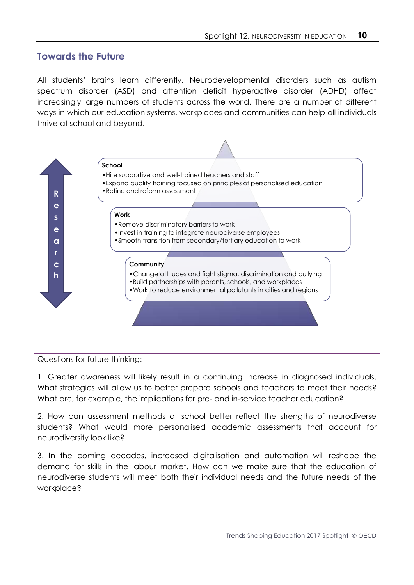# **Towards the Future**

All students' brains learn differently. Neurodevelopmental disorders such as autism spectrum disorder (ASD) and attention deficit hyperactive disorder (ADHD) affect increasingly large numbers of students across the world. There are a number of different ways in which our education systems, workplaces and communities can help all individuals thrive at school and beyond.



#### Questions for future thinking:

1. Greater awareness will likely result in a continuing increase in diagnosed individuals. What strategies will allow us to better prepare schools and teachers to meet their needs? What are, for example, the implications for pre- and in-service teacher education?

2. How can assessment methods at school better reflect the strengths of neurodiverse students? What would more personalised academic assessments that account for neurodiversity look like?

3. In the coming decades, increased digitalisation and automation will reshape the demand for skills in the labour market. How can we make sure that the education of neurodiverse students will meet both their individual needs and the future needs of the workplace?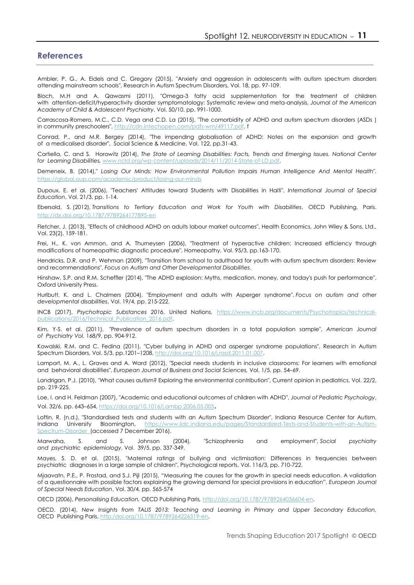#### **References**

Ambler, P. G., A. Eidels and C. Gregory (2015), "Anxiety and aggression in adolescents with autism spectrum disorders attending mainstream schools", Research in Autism Spectrum Disorders, Vol. 18, pp. 97-109.

Bloch, M.H and A. Qawasmi (2011), "Omega-3 fatty acid supplementation for the treatment of children with attention-deficit/hyperactivity disorder symptomatology: Systematic review and meta-analysis, *Journal of the American Academy of Child & Adolescent Psychiatry*, Vol. 50/10, pp. 991-1000.

Carrascosa-Romero, M.C., C.D. Vega and C.D. La (2015), "The comorbidity of ADHD and autism spectrum disorders (ASDs ) in community preschoolers", [http://cdn.intechopen.com/pdfs-wm/49117.pdf.](http://cdn.intechopen.com/pdfs-wm/49117.pdf) f

Conrad, P., and M.R. Bergey (2014), "The impending globalisation of ADHD: Notes on the expansion and growth of a medicalised disorder", Social Science & Medicine, Vol. 122, pp.31-43.

Cortiella, C. and S. Horowitz (2014), *The State of Learning Disabilities: Facts, Trends and Emerging Issues. National Center for Learning Disabilities,* [www.ncld.org/wp-content/uploads/2014/11/2014-State-of-LD.pdf.](https://www.ncld.org/wp-content/uploads/2014/11/2014-State-of-LD.pdf)

Demeneix, B. (2014)," *Losing Our Minds: How Environmental Pollution Impairs Human Intelligence And Mental Health".* [https://global.oup.com/academic/product/losing-our-minds](https://global.oup.com/academic/product/losing-our-minds-9780199917518?cc=fr&lang=en&)

Dupoux, E. et al. (2006), "Teachers' Attitudes toward Students with Disabilities in Haiti", *International Journal of Special Education*, Vol. 21/3, pp. 1-14.

Ebersold, S. (2012), *Transitions to Tertiary Education and Work for Youth with Disabilities*, OECD Publishing, Paris. <http://dx.doi.org/10.1787/9789264177895-en>

Fletcher, J. (2013), "Effects of childhood ADHD on adults labour market outcomes", Health Economics, John Wiley & Sons, Ltd., Vol. 23(2), 159-181.

Frei, H., K. von Ammon, and A. Thurneysen (2006), "Treatment of hyperactive children: Increased efficiency through modifications of homeopathic diagnostic procedure", Homeopathy, Vol. 95/3, pp.163-170.

Hendricks, D.R. and P. Wehman (2009), "Transition from school to adulthood for youth with autism spectrum disorders: Review and recommendations", *Focus on Autism and Other Developmental Disabilities*.

Hinshaw, S.P. and R.M. Scheffler (2014), "The ADHD explosion: Myths, medication, money, and today's push for performance", Oxford University Press.

Hurlbutt, K. and L. Chalmers (2004), "Employment and adults with Asperger syndrome". *Focus on autism and other developmental disabilities*, Vol. 19/4, pp. 215-222.

INCB (2017), *Psychotropic Substances 2016*, United Nations, [https://www.incb.org/documents/Psychotropics/technical](https://www.incb.org/documents/Psychotropics/technical-publications/2016/Technical_Publication_2016.pdf)[publications/2016/Technical\\_Publication\\_2016.pdf.](https://www.incb.org/documents/Psychotropics/technical-publications/2016/Technical_Publication_2016.pdf)

Kim, Y-S. et al. (2011), ["Prevalence of autism spectrum disorders in a total population sample"](http://ajp.psychiatryonline.org/doi/abs/10.1176/appi.ajp.2011.10101532), *American Journal of Psychiatry Vol.* 168/9, pp. 904-912.

Kowalski, R.M. and C. Fedina (2011), "Cyber bullying in ADHD and asperger syndrome populations", Research in Autism Spectrum Disorders, Vol. 5/3, pp.1201-1208, http://doi.org/10.1016/j.rasd.

Lamport, M. A., L. Graves and A. Ward (2012), "Special needs students in inclusive classrooms: For learners with emotional and behavioral disabilities", *European Journal of Business and Social Sciences,* Vol. 1/5, pp. 54–69.

Landrigan, P.J. (2010), "What causes autism? Exploring the environmental contribution", Current opinion in pediatrics, Vol. 22/2, pp. 219-225.

Loe, I. and H. Feldman (2007), "Academic and educational outcomes of children with ADHD", *Journal of Pediatric Psychology*, Vol. 32/6, pp. 643–654, <https://doi.org/10.1016/j.ambp.2006.05.005>.

Loftin, R. (n.d.), "Standardised tests and students with an Autism Spectrum Disorder", Indiana Resource Center for Autism, Indiana University Bloomington, [https://www.iidc.indiana.edu/pages/Standardized-Tests-and-Students-with-an-Autism-](https://www.iidc.indiana.edu/pages/Standardized-Tests-and-Students-with-an-Autism-Spectrum-Disorder)[Spectrum-Disorder \(](https://www.iidc.indiana.edu/pages/Standardized-Tests-and-Students-with-an-Autism-Spectrum-Disorder)accessed 7 December 2016).

Marwaha, S. and S. Johnson (2004), "Schizophrenia and employment", *Social psychiatry and psychiatric epidemiology*, Vol. 39/5, pp. 337-349.

Mayes, S. D. et al. (2015), "Maternal ratings of bullying and victimisation: Differences in frequencies between psychiatric diagnoses in a large sample of children", Psychological reports, Vol. 116/3, pp. 710-722.

Mjaavatn, P.E., P. Frostad, and S.J. Pijl (2015), "Measuring the causes for the growth in special needs education. A validation of a questionnaire with possible factors explaining the growing demand for special provisions in education", *European Journal of Special Needs Education*, Vol. 30/4, pp. 565-574

OECD (2006), *Personalising Education,* OECD Publishing Paris*,* [http://doi.org/10.1787/9789264036604-en.](http://doi.org/10.1787/9789264036604-en)

OECD. (2014), *New Insights from TALIS 2013: Teaching and Learning in Primary and Upper Secondary Education,*  OECD Publishing Paris, [http:/doi.org/10.1787/9789264226319-en.](http://doi.org/10.1787/9789264226319-en)

Trends Shaping Education 2017 Spotlight © OECD